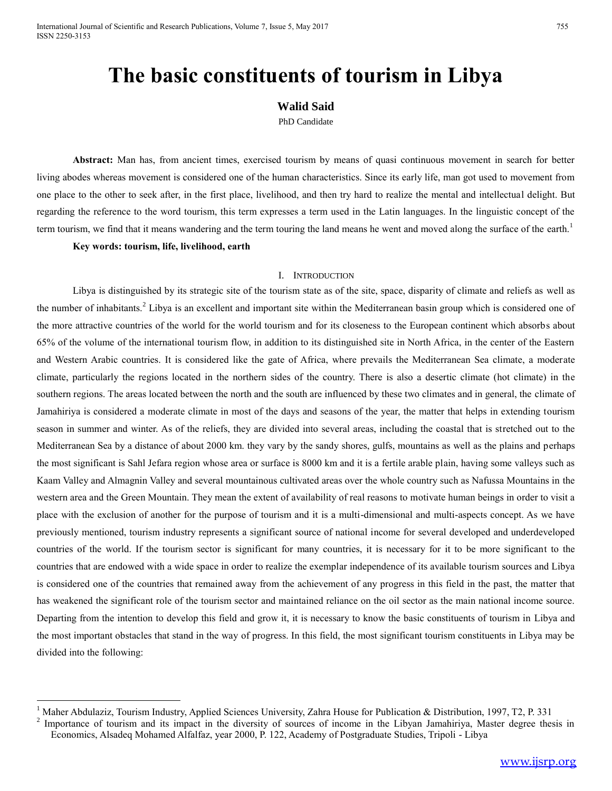# **The basic constituents of tourism in Libya**

# **Walid Said**

PhD Candidate

**Abstract:** Man has, from ancient times, exercised tourism by means of quasi continuous movement in search for better living abodes whereas movement is considered one of the human characteristics. Since its early life, man got used to movement from one place to the other to seek after, in the first place, livelihood, and then try hard to realize the mental and intellectual delight. But regarding the reference to the word tourism, this term expresses a term used in the Latin languages. In the linguistic concept of the term tourism, we find that it means wandering and the term touring the land means he went and moved along the surface of the earth.<sup>1</sup>

**Key words: tourism, life, livelihood, earth**

 $\overline{a}$ 

# I. INTRODUCTION

Libya is distinguished by its strategic site of the tourism state as of the site, space, disparity of climate and reliefs as well as the number of inhabitants.<sup>2</sup> Libya is an excellent and important site within the Mediterranean basin group which is considered one of the more attractive countries of the world for the world tourism and for its closeness to the European continent which absorbs about 65% of the volume of the international tourism flow, in addition to its distinguished site in North Africa, in the center of the Eastern and Western Arabic countries. It is considered like the gate of Africa, where prevails the Mediterranean Sea climate, a moderate climate, particularly the regions located in the northern sides of the country. There is also a desertic climate (hot climate) in the southern regions. The areas located between the north and the south are influenced by these two climates and in general, the climate of Jamahiriya is considered a moderate climate in most of the days and seasons of the year, the matter that helps in extending tourism season in summer and winter. As of the reliefs, they are divided into several areas, including the coastal that is stretched out to the Mediterranean Sea by a distance of about 2000 km. they vary by the sandy shores, gulfs, mountains as well as the plains and perhaps the most significant is Sahl Jefara region whose area or surface is 8000 km and it is a fertile arable plain, having some valleys such as Kaam Valley and Almagnin Valley and several mountainous cultivated areas over the whole country such as Nafussa Mountains in the western area and the Green Mountain. They mean the extent of availability of real reasons to motivate human beings in order to visit a place with the exclusion of another for the purpose of tourism and it is a multi-dimensional and multi-aspects concept. As we have previously mentioned, tourism industry represents a significant source of national income for several developed and underdeveloped countries of the world. If the tourism sector is significant for many countries, it is necessary for it to be more significant to the countries that are endowed with a wide space in order to realize the exemplar independence of its available tourism sources and Libya is considered one of the countries that remained away from the achievement of any progress in this field in the past, the matter that has weakened the significant role of the tourism sector and maintained reliance on the oil sector as the main national income source. Departing from the intention to develop this field and grow it, it is necessary to know the basic constituents of tourism in Libya and the most important obstacles that stand in the way of progress. In this field, the most significant tourism constituents in Libya may be divided into the following:

<sup>&</sup>lt;sup>1</sup> Maher Abdulaziz, Tourism Industry, Applied Sciences University, Zahra House for Publication & Distribution, 1997, T2, P. 331

<sup>2</sup> Importance of tourism and its impact in the diversity of sources of income in the Libyan Jamahiriya, Master degree thesis in Economics, Alsadeq Mohamed Alfalfaz, year 2000, P. 122, Academy of Postgraduate Studies, Tripoli - Libya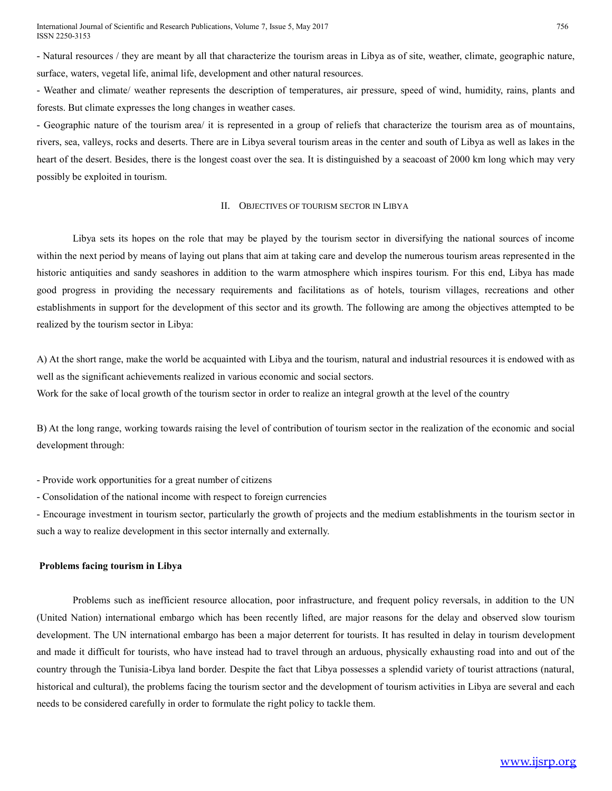- Natural resources / they are meant by all that characterize the tourism areas in Libya as of site, weather, climate, geographic nature, surface, waters, vegetal life, animal life, development and other natural resources.

- Weather and climate/ weather represents the description of temperatures, air pressure, speed of wind, humidity, rains, plants and forests. But climate expresses the long changes in weather cases.

- Geographic nature of the tourism area/ it is represented in a group of reliefs that characterize the tourism area as of mountains, rivers, sea, valleys, rocks and deserts. There are in Libya several tourism areas in the center and south of Libya as well as lakes in the heart of the desert. Besides, there is the longest coast over the sea. It is distinguished by a seacoast of 2000 km long which may very possibly be exploited in tourism.

#### II. OBJECTIVES OF TOURISM SECTOR IN LIBYA

Libya sets its hopes on the role that may be played by the tourism sector in diversifying the national sources of income within the next period by means of laying out plans that aim at taking care and develop the numerous tourism areas represented in the historic antiquities and sandy seashores in addition to the warm atmosphere which inspires tourism. For this end, Libya has made good progress in providing the necessary requirements and facilitations as of hotels, tourism villages, recreations and other establishments in support for the development of this sector and its growth. The following are among the objectives attempted to be realized by the tourism sector in Libya:

A) At the short range, make the world be acquainted with Libya and the tourism, natural and industrial resources it is endowed with as well as the significant achievements realized in various economic and social sectors. Work for the sake of local growth of the tourism sector in order to realize an integral growth at the level of the country

B) At the long range, working towards raising the level of contribution of tourism sector in the realization of the economic and social development through:

- Provide work opportunities for a great number of citizens

- Consolidation of the national income with respect to foreign currencies

- Encourage investment in tourism sector, particularly the growth of projects and the medium establishments in the tourism sector in such a way to realize development in this sector internally and externally.

## **Problems facing tourism in Libya**

Problems such as inefficient resource allocation, poor infrastructure, and frequent policy reversals, in addition to the UN (United Nation) international embargo which has been recently lifted, are major reasons for the delay and observed slow tourism development. The UN international embargo has been a major deterrent for tourists. It has resulted in delay in tourism development and made it difficult for tourists, who have instead had to travel through an arduous, physically exhausting road into and out of the country through the Tunisia-Libya land border. Despite the fact that Libya possesses a splendid variety of tourist attractions (natural, historical and cultural), the problems facing the tourism sector and the development of tourism activities in Libya are several and each needs to be considered carefully in order to formulate the right policy to tackle them.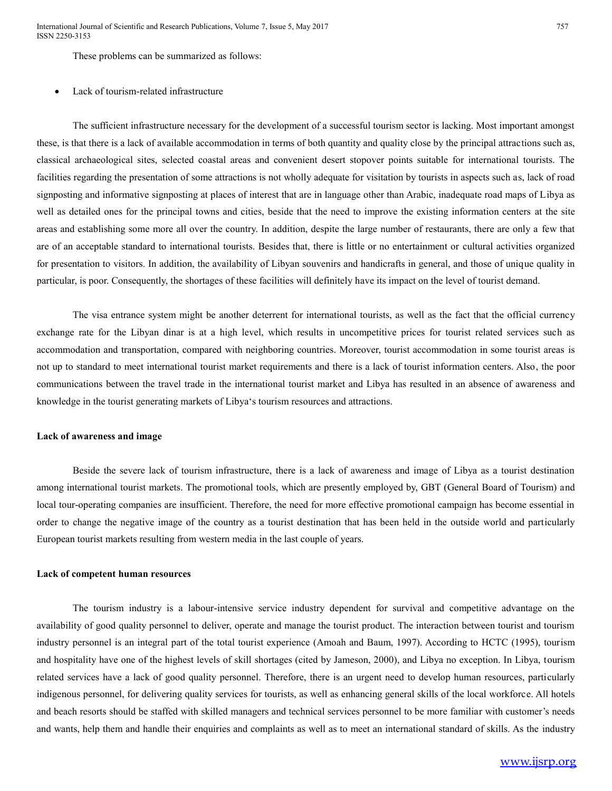International Journal of Scientific and Research Publications, Volume 7, Issue 5, May 2017 ISSN 2250-3153

These problems can be summarized as follows:

#### Lack of tourism-related infrastructure

The sufficient infrastructure necessary for the development of a successful tourism sector is lacking. Most important amongst these, is that there is a lack of available accommodation in terms of both quantity and quality close by the principal attractions such as, classical archaeological sites, selected coastal areas and convenient desert stopover points suitable for international tourists. The facilities regarding the presentation of some attractions is not wholly adequate for visitation by tourists in aspects such as, lack of road signposting and informative signposting at places of interest that are in language other than Arabic, inadequate road maps of Libya as well as detailed ones for the principal towns and cities, beside that the need to improve the existing information centers at the site areas and establishing some more all over the country. In addition, despite the large number of restaurants, there are only a few that are of an acceptable standard to international tourists. Besides that, there is little or no entertainment or cultural activities organized for presentation to visitors. In addition, the availability of Libyan souvenirs and handicrafts in general, and those of unique quality in particular, is poor. Consequently, the shortages of these facilities will definitely have its impact on the level of tourist demand.

The visa entrance system might be another deterrent for international tourists, as well as the fact that the official currency exchange rate for the Libyan dinar is at a high level, which results in uncompetitive prices for tourist related services such as accommodation and transportation, compared with neighboring countries. Moreover, tourist accommodation in some tourist areas is not up to standard to meet international tourist market requirements and there is a lack of tourist information centers. Also, the poor communications between the travel trade in the international tourist market and Libya has resulted in an absence of awareness and knowledge in the tourist generating markets of Libya's tourism resources and attractions.

#### **Lack of awareness and image**

Beside the severe lack of tourism infrastructure, there is a lack of awareness and image of Libya as a tourist destination among international tourist markets. The promotional tools, which are presently employed by, GBT (General Board of Tourism) and local tour-operating companies are insufficient. Therefore, the need for more effective promotional campaign has become essential in order to change the negative image of the country as a tourist destination that has been held in the outside world and particularly European tourist markets resulting from western media in the last couple of years.

# **Lack of competent human resources**

The tourism industry is a labour-intensive service industry dependent for survival and competitive advantage on the availability of good quality personnel to deliver, operate and manage the tourist product. The interaction between tourist and tourism industry personnel is an integral part of the total tourist experience (Amoah and Baum, 1997). According to HCTC (1995), tourism and hospitality have one of the highest levels of skill shortages (cited by Jameson, 2000), and Libya no exception. In Libya, tourism related services have a lack of good quality personnel. Therefore, there is an urgent need to develop human resources, particularly indigenous personnel, for delivering quality services for tourists, as well as enhancing general skills of the local workforce. All hotels and beach resorts should be staffed with skilled managers and technical services personnel to be more familiar with customer's needs and wants, help them and handle their enquiries and complaints as well as to meet an international standard of skills. As the industry

# [www.ijsrp.org](http://ijsrp.org/)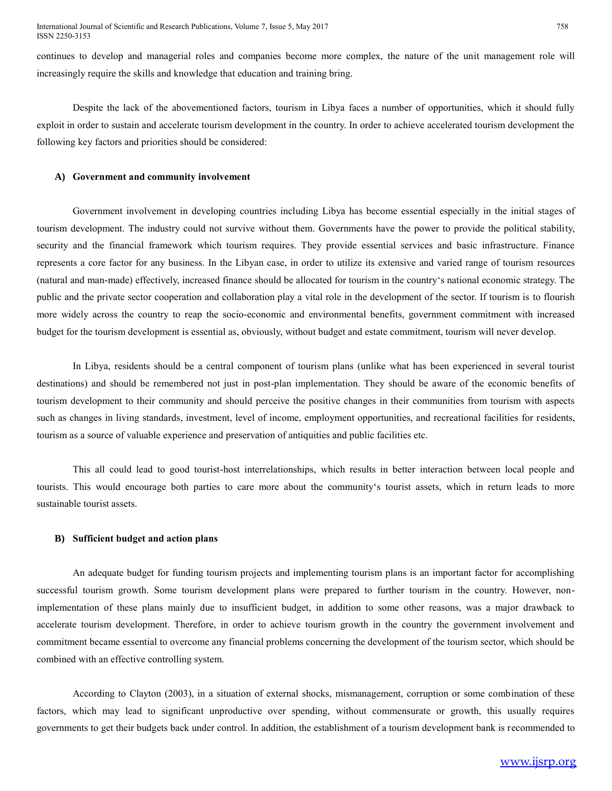continues to develop and managerial roles and companies become more complex, the nature of the unit management role will increasingly require the skills and knowledge that education and training bring.

Despite the lack of the abovementioned factors, tourism in Libya faces a number of opportunities, which it should fully exploit in order to sustain and accelerate tourism development in the country. In order to achieve accelerated tourism development the following key factors and priorities should be considered:

#### **A) Government and community involvement**

Government involvement in developing countries including Libya has become essential especially in the initial stages of tourism development. The industry could not survive without them. Governments have the power to provide the political stability, security and the financial framework which tourism requires. They provide essential services and basic infrastructure. Finance represents a core factor for any business. In the Libyan case, in order to utilize its extensive and varied range of tourism resources (natural and man-made) effectively, increased finance should be allocated for tourism in the country's national economic strategy. The public and the private sector cooperation and collaboration play a vital role in the development of the sector. If tourism is to flourish more widely across the country to reap the socio-economic and environmental benefits, government commitment with increased budget for the tourism development is essential as, obviously, without budget and estate commitment, tourism will never develop.

In Libya, residents should be a central component of tourism plans (unlike what has been experienced in several tourist destinations) and should be remembered not just in post-plan implementation. They should be aware of the economic benefits of tourism development to their community and should perceive the positive changes in their communities from tourism with aspects such as changes in living standards, investment, level of income, employment opportunities, and recreational facilities for residents, tourism as a source of valuable experience and preservation of antiquities and public facilities etc.

This all could lead to good tourist-host interrelationships, which results in better interaction between local people and tourists. This would encourage both parties to care more about the community's tourist assets, which in return leads to more sustainable tourist assets.

## **B) Sufficient budget and action plans**

An adequate budget for funding tourism projects and implementing tourism plans is an important factor for accomplishing successful tourism growth. Some tourism development plans were prepared to further tourism in the country. However, nonimplementation of these plans mainly due to insufficient budget, in addition to some other reasons, was a major drawback to accelerate tourism development. Therefore, in order to achieve tourism growth in the country the government involvement and commitment became essential to overcome any financial problems concerning the development of the tourism sector, which should be combined with an effective controlling system.

According to Clayton (2003), in a situation of external shocks, mismanagement, corruption or some combination of these factors, which may lead to significant unproductive over spending, without commensurate or growth, this usually requires governments to get their budgets back under control. In addition, the establishment of a tourism development bank is recommended to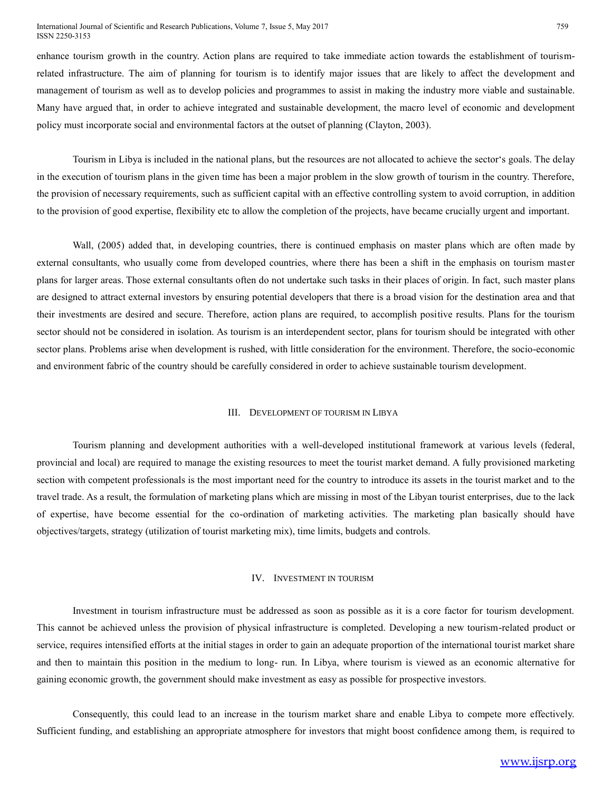#### International Journal of Scientific and Research Publications, Volume 7, Issue 5, May 2017 ISSN 2250-3153

enhance tourism growth in the country. Action plans are required to take immediate action towards the establishment of tourismrelated infrastructure. The aim of planning for tourism is to identify major issues that are likely to affect the development and management of tourism as well as to develop policies and programmes to assist in making the industry more viable and sustainable. Many have argued that, in order to achieve integrated and sustainable development, the macro level of economic and development policy must incorporate social and environmental factors at the outset of planning (Clayton, 2003).

Tourism in Libya is included in the national plans, but the resources are not allocated to achieve the sector's goals. The delay in the execution of tourism plans in the given time has been a major problem in the slow growth of tourism in the country. Therefore, the provision of necessary requirements, such as sufficient capital with an effective controlling system to avoid corruption, in addition to the provision of good expertise, flexibility etc to allow the completion of the projects, have became crucially urgent and important.

Wall, (2005) added that, in developing countries, there is continued emphasis on master plans which are often made by external consultants, who usually come from developed countries, where there has been a shift in the emphasis on tourism master plans for larger areas. Those external consultants often do not undertake such tasks in their places of origin. In fact, such master plans are designed to attract external investors by ensuring potential developers that there is a broad vision for the destination area and that their investments are desired and secure. Therefore, action plans are required, to accomplish positive results. Plans for the tourism sector should not be considered in isolation. As tourism is an interdependent sector, plans for tourism should be integrated with other sector plans. Problems arise when development is rushed, with little consideration for the environment. Therefore, the socio-economic and environment fabric of the country should be carefully considered in order to achieve sustainable tourism development.

#### III. DEVELOPMENT OF TOURISM IN LIBYA

Tourism planning and development authorities with a well-developed institutional framework at various levels (federal, provincial and local) are required to manage the existing resources to meet the tourist market demand. A fully provisioned marketing section with competent professionals is the most important need for the country to introduce its assets in the tourist market and to the travel trade. As a result, the formulation of marketing plans which are missing in most of the Libyan tourist enterprises, due to the lack of expertise, have become essential for the co-ordination of marketing activities. The marketing plan basically should have objectives/targets, strategy (utilization of tourist marketing mix), time limits, budgets and controls.

#### IV. INVESTMENT IN TOURISM

Investment in tourism infrastructure must be addressed as soon as possible as it is a core factor for tourism development. This cannot be achieved unless the provision of physical infrastructure is completed. Developing a new tourism-related product or service, requires intensified efforts at the initial stages in order to gain an adequate proportion of the international tourist market share and then to maintain this position in the medium to long- run. In Libya, where tourism is viewed as an economic alternative for gaining economic growth, the government should make investment as easy as possible for prospective investors.

Consequently, this could lead to an increase in the tourism market share and enable Libya to compete more effectively. Sufficient funding, and establishing an appropriate atmosphere for investors that might boost confidence among them, is required to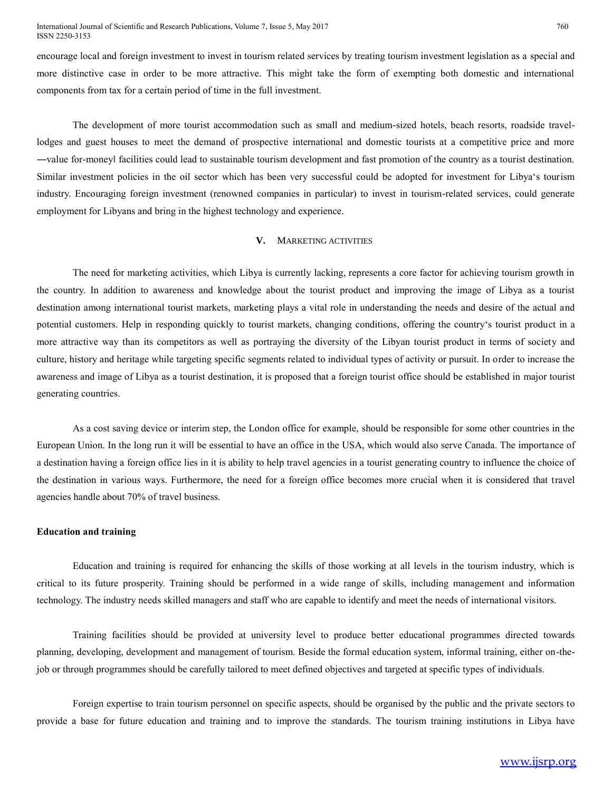encourage local and foreign investment to invest in tourism related services by treating tourism investment legislation as a special and more distinctive case in order to be more attractive. This might take the form of exempting both domestic and international components from tax for a certain period of time in the full investment.

The development of more tourist accommodation such as small and medium-sized hotels, beach resorts, roadside travellodges and guest houses to meet the demand of prospective international and domestic tourists at a competitive price and more ―value for-money‖ facilities could lead to sustainable tourism development and fast promotion of the country as a tourist destination. Similar investment policies in the oil sector which has been very successful could be adopted for investment for Libya's tourism industry. Encouraging foreign investment (renowned companies in particular) to invest in tourism-related services, could generate employment for Libyans and bring in the highest technology and experience.

## **V.** MARKETING ACTIVITIES

The need for marketing activities, which Libya is currently lacking, represents a core factor for achieving tourism growth in the country. In addition to awareness and knowledge about the tourist product and improving the image of Libya as a tourist destination among international tourist markets, marketing plays a vital role in understanding the needs and desire of the actual and potential customers. Help in responding quickly to tourist markets, changing conditions, offering the country's tourist product in a more attractive way than its competitors as well as portraying the diversity of the Libyan tourist product in terms of society and culture, history and heritage while targeting specific segments related to individual types of activity or pursuit. In order to increase the awareness and image of Libya as a tourist destination, it is proposed that a foreign tourist office should be established in major tourist generating countries.

As a cost saving device or interim step, the London office for example, should be responsible for some other countries in the European Union. In the long run it will be essential to have an office in the USA, which would also serve Canada. The importance of a destination having a foreign office lies in it is ability to help travel agencies in a tourist generating country to influence the choice of the destination in various ways. Furthermore, the need for a foreign office becomes more crucial when it is considered that travel agencies handle about 70% of travel business.

#### **Education and training**

Education and training is required for enhancing the skills of those working at all levels in the tourism industry, which is critical to its future prosperity. Training should be performed in a wide range of skills, including management and information technology. The industry needs skilled managers and staff who are capable to identify and meet the needs of international visitors.

Training facilities should be provided at university level to produce better educational programmes directed towards planning, developing, development and management of tourism. Beside the formal education system, informal training, either on-thejob or through programmes should be carefully tailored to meet defined objectives and targeted at specific types of individuals.

Foreign expertise to train tourism personnel on specific aspects, should be organised by the public and the private sectors to provide a base for future education and training and to improve the standards. The tourism training institutions in Libya have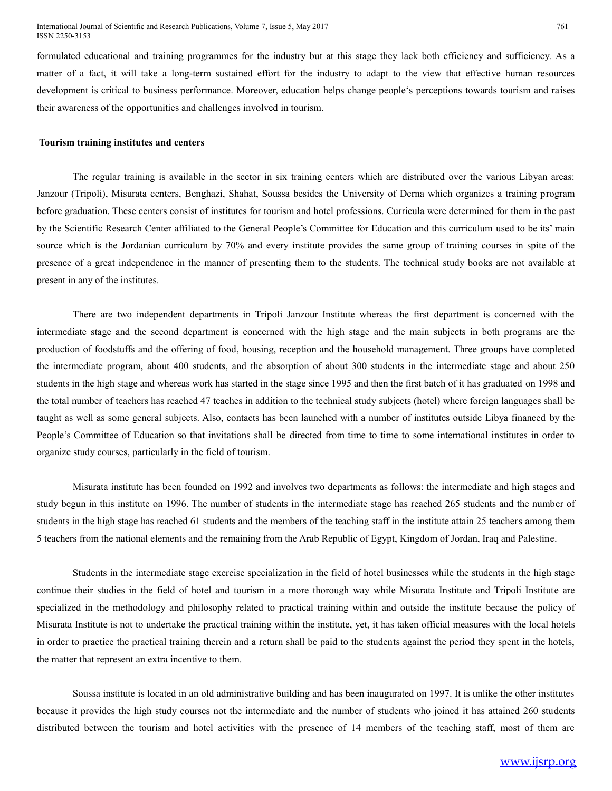formulated educational and training programmes for the industry but at this stage they lack both efficiency and sufficiency. As a matter of a fact, it will take a long-term sustained effort for the industry to adapt to the view that effective human resources development is critical to business performance. Moreover, education helps change people's perceptions towards tourism and raises their awareness of the opportunities and challenges involved in tourism.

#### **Tourism training institutes and centers**

The regular training is available in the sector in six training centers which are distributed over the various Libyan areas: Janzour (Tripoli), Misurata centers, Benghazi, Shahat, Soussa besides the University of Derna which organizes a training program before graduation. These centers consist of institutes for tourism and hotel professions. Curricula were determined for them in the past by the Scientific Research Center affiliated to the General People's Committee for Education and this curriculum used to be its' main source which is the Jordanian curriculum by 70% and every institute provides the same group of training courses in spite of the presence of a great independence in the manner of presenting them to the students. The technical study books are not available at present in any of the institutes.

There are two independent departments in Tripoli Janzour Institute whereas the first department is concerned with the intermediate stage and the second department is concerned with the high stage and the main subjects in both programs are the production of foodstuffs and the offering of food, housing, reception and the household management. Three groups have completed the intermediate program, about 400 students, and the absorption of about 300 students in the intermediate stage and about 250 students in the high stage and whereas work has started in the stage since 1995 and then the first batch of it has graduated on 1998 and the total number of teachers has reached 47 teaches in addition to the technical study subjects (hotel) where foreign languages shall be taught as well as some general subjects. Also, contacts has been launched with a number of institutes outside Libya financed by the People's Committee of Education so that invitations shall be directed from time to time to some international institutes in order to organize study courses, particularly in the field of tourism.

Misurata institute has been founded on 1992 and involves two departments as follows: the intermediate and high stages and study begun in this institute on 1996. The number of students in the intermediate stage has reached 265 students and the number of students in the high stage has reached 61 students and the members of the teaching staff in the institute attain 25 teachers among them 5 teachers from the national elements and the remaining from the Arab Republic of Egypt, Kingdom of Jordan, Iraq and Palestine.

Students in the intermediate stage exercise specialization in the field of hotel businesses while the students in the high stage continue their studies in the field of hotel and tourism in a more thorough way while Misurata Institute and Tripoli Institute are specialized in the methodology and philosophy related to practical training within and outside the institute because the policy of Misurata Institute is not to undertake the practical training within the institute, yet, it has taken official measures with the local hotels in order to practice the practical training therein and a return shall be paid to the students against the period they spent in the hotels, the matter that represent an extra incentive to them.

Soussa institute is located in an old administrative building and has been inaugurated on 1997. It is unlike the other institutes because it provides the high study courses not the intermediate and the number of students who joined it has attained 260 students distributed between the tourism and hotel activities with the presence of 14 members of the teaching staff, most of them are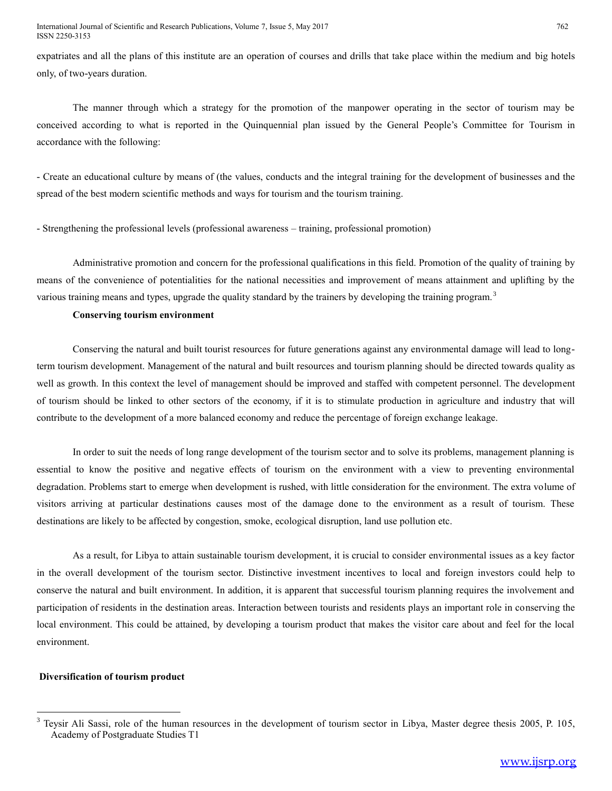expatriates and all the plans of this institute are an operation of courses and drills that take place within the medium and big hotels only, of two-years duration.

The manner through which a strategy for the promotion of the manpower operating in the sector of tourism may be conceived according to what is reported in the Quinquennial plan issued by the General People's Committee for Tourism in accordance with the following:

- Create an educational culture by means of (the values, conducts and the integral training for the development of businesses and the spread of the best modern scientific methods and ways for tourism and the tourism training.

- Strengthening the professional levels (professional awareness – training, professional promotion)

Administrative promotion and concern for the professional qualifications in this field. Promotion of the quality of training by means of the convenience of potentialities for the national necessities and improvement of means attainment and uplifting by the various training means and types, upgrade the quality standard by the trainers by developing the training program.<sup>3</sup>

## **Conserving tourism environment**

Conserving the natural and built tourist resources for future generations against any environmental damage will lead to longterm tourism development. Management of the natural and built resources and tourism planning should be directed towards quality as well as growth. In this context the level of management should be improved and staffed with competent personnel. The development of tourism should be linked to other sectors of the economy, if it is to stimulate production in agriculture and industry that will contribute to the development of a more balanced economy and reduce the percentage of foreign exchange leakage.

In order to suit the needs of long range development of the tourism sector and to solve its problems, management planning is essential to know the positive and negative effects of tourism on the environment with a view to preventing environmental degradation. Problems start to emerge when development is rushed, with little consideration for the environment. The extra volume of visitors arriving at particular destinations causes most of the damage done to the environment as a result of tourism. These destinations are likely to be affected by congestion, smoke, ecological disruption, land use pollution etc.

As a result, for Libya to attain sustainable tourism development, it is crucial to consider environmental issues as a key factor in the overall development of the tourism sector. Distinctive investment incentives to local and foreign investors could help to conserve the natural and built environment. In addition, it is apparent that successful tourism planning requires the involvement and participation of residents in the destination areas. Interaction between tourists and residents plays an important role in conserving the local environment. This could be attained, by developing a tourism product that makes the visitor care about and feel for the local environment.

## **Diversification of tourism product**

 $\overline{a}$ 

 $3$  Teysir Ali Sassi, role of the human resources in the development of tourism sector in Libya, Master degree thesis 2005, P. 105, Academy of Postgraduate Studies T1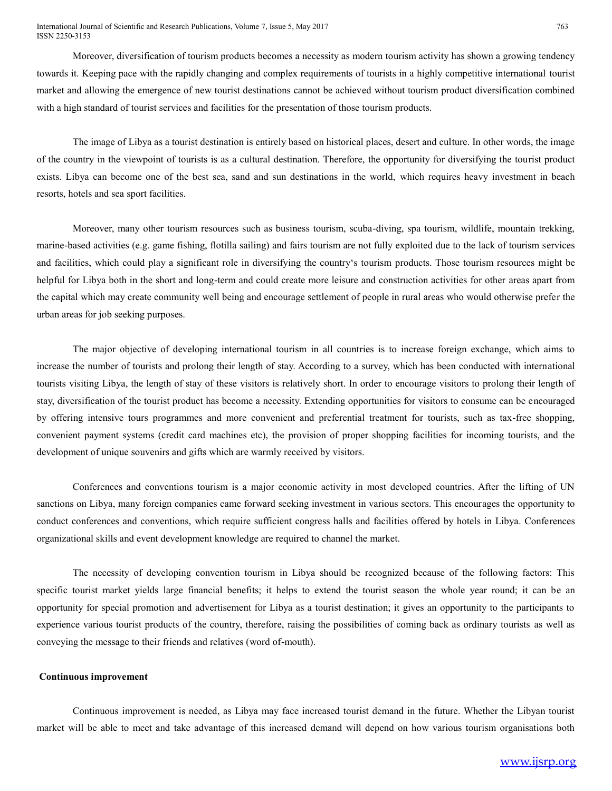Moreover, diversification of tourism products becomes a necessity as modern tourism activity has shown a growing tendency towards it. Keeping pace with the rapidly changing and complex requirements of tourists in a highly competitive international tourist market and allowing the emergence of new tourist destinations cannot be achieved without tourism product diversification combined with a high standard of tourist services and facilities for the presentation of those tourism products.

The image of Libya as a tourist destination is entirely based on historical places, desert and culture. In other words, the image of the country in the viewpoint of tourists is as a cultural destination. Therefore, the opportunity for diversifying the tourist product exists. Libya can become one of the best sea, sand and sun destinations in the world, which requires heavy investment in beach resorts, hotels and sea sport facilities.

Moreover, many other tourism resources such as business tourism, scuba-diving, spa tourism, wildlife, mountain trekking, marine-based activities (e.g. game fishing, flotilla sailing) and fairs tourism are not fully exploited due to the lack of tourism services and facilities, which could play a significant role in diversifying the country's tourism products. Those tourism resources might be helpful for Libya both in the short and long-term and could create more leisure and construction activities for other areas apart from the capital which may create community well being and encourage settlement of people in rural areas who would otherwise prefer the urban areas for job seeking purposes.

The major objective of developing international tourism in all countries is to increase foreign exchange, which aims to increase the number of tourists and prolong their length of stay. According to a survey, which has been conducted with international tourists visiting Libya, the length of stay of these visitors is relatively short. In order to encourage visitors to prolong their length of stay, diversification of the tourist product has become a necessity. Extending opportunities for visitors to consume can be encouraged by offering intensive tours programmes and more convenient and preferential treatment for tourists, such as tax-free shopping, convenient payment systems (credit card machines etc), the provision of proper shopping facilities for incoming tourists, and the development of unique souvenirs and gifts which are warmly received by visitors.

Conferences and conventions tourism is a major economic activity in most developed countries. After the lifting of UN sanctions on Libya, many foreign companies came forward seeking investment in various sectors. This encourages the opportunity to conduct conferences and conventions, which require sufficient congress halls and facilities offered by hotels in Libya. Conferences organizational skills and event development knowledge are required to channel the market.

The necessity of developing convention tourism in Libya should be recognized because of the following factors: This specific tourist market yields large financial benefits; it helps to extend the tourist season the whole year round; it can be an opportunity for special promotion and advertisement for Libya as a tourist destination; it gives an opportunity to the participants to experience various tourist products of the country, therefore, raising the possibilities of coming back as ordinary tourists as well as conveying the message to their friends and relatives (word of-mouth).

## **Continuous improvement**

Continuous improvement is needed, as Libya may face increased tourist demand in the future. Whether the Libyan tourist market will be able to meet and take advantage of this increased demand will depend on how various tourism organisations both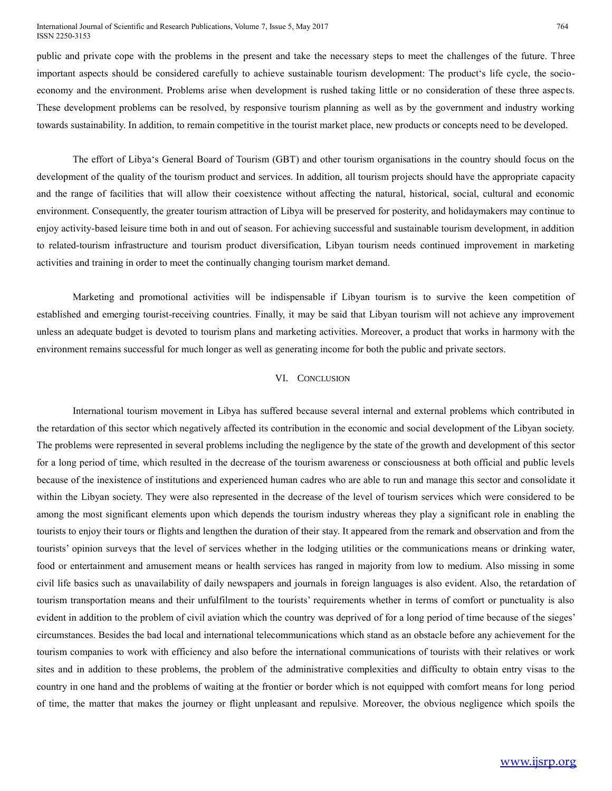#### International Journal of Scientific and Research Publications, Volume 7, Issue 5, May 2017 ISSN 2250-3153

public and private cope with the problems in the present and take the necessary steps to meet the challenges of the future. Three important aspects should be considered carefully to achieve sustainable tourism development: The product's life cycle, the socioeconomy and the environment. Problems arise when development is rushed taking little or no consideration of these three aspects. These development problems can be resolved, by responsive tourism planning as well as by the government and industry working towards sustainability. In addition, to remain competitive in the tourist market place, new products or concepts need to be developed.

The effort of Libya's General Board of Tourism (GBT) and other tourism organisations in the country should focus on the development of the quality of the tourism product and services. In addition, all tourism projects should have the appropriate capacity and the range of facilities that will allow their coexistence without affecting the natural, historical, social, cultural and economic environment. Consequently, the greater tourism attraction of Libya will be preserved for posterity, and holidaymakers may continue to enjoy activity-based leisure time both in and out of season. For achieving successful and sustainable tourism development, in addition to related-tourism infrastructure and tourism product diversification, Libyan tourism needs continued improvement in marketing activities and training in order to meet the continually changing tourism market demand.

Marketing and promotional activities will be indispensable if Libyan tourism is to survive the keen competition of established and emerging tourist-receiving countries. Finally, it may be said that Libyan tourism will not achieve any improvement unless an adequate budget is devoted to tourism plans and marketing activities. Moreover, a product that works in harmony with the environment remains successful for much longer as well as generating income for both the public and private sectors.

# VI. CONCLUSION

International tourism movement in Libya has suffered because several internal and external problems which contributed in the retardation of this sector which negatively affected its contribution in the economic and social development of the Libyan society. The problems were represented in several problems including the negligence by the state of the growth and development of this sector for a long period of time, which resulted in the decrease of the tourism awareness or consciousness at both official and public levels because of the inexistence of institutions and experienced human cadres who are able to run and manage this sector and consolidate it within the Libyan society. They were also represented in the decrease of the level of tourism services which were considered to be among the most significant elements upon which depends the tourism industry whereas they play a significant role in enabling the tourists to enjoy their tours or flights and lengthen the duration of their stay. It appeared from the remark and observation and from the tourists' opinion surveys that the level of services whether in the lodging utilities or the communications means or drinking water, food or entertainment and amusement means or health services has ranged in majority from low to medium. Also missing in some civil life basics such as unavailability of daily newspapers and journals in foreign languages is also evident. Also, the retardation of tourism transportation means and their unfulfilment to the tourists' requirements whether in terms of comfort or punctuality is also evident in addition to the problem of civil aviation which the country was deprived of for a long period of time because of the sieges' circumstances. Besides the bad local and international telecommunications which stand as an obstacle before any achievement for the tourism companies to work with efficiency and also before the international communications of tourists with their relatives or work sites and in addition to these problems, the problem of the administrative complexities and difficulty to obtain entry visas to the country in one hand and the problems of waiting at the frontier or border which is not equipped with comfort means for long period of time, the matter that makes the journey or flight unpleasant and repulsive. Moreover, the obvious negligence which spoils the